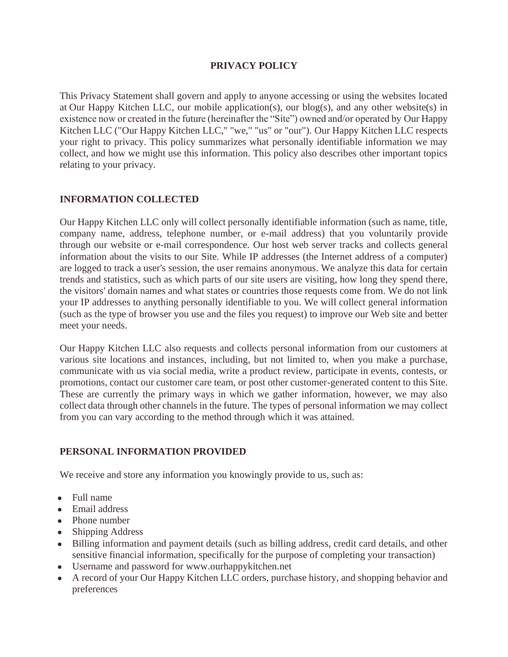## **PRIVACY POLICY**

This Privacy Statement shall govern and apply to anyone accessing or using the websites located at Our Happy Kitchen LLC, our mobile application(s), our blog(s), and any other website(s) in existence now or created in the future (hereinafter the "Site") owned and/or operated by Our Happy Kitchen LLC ("Our Happy Kitchen LLC," "we," "us" or "our"). Our Happy Kitchen LLC respects your right to privacy. This policy summarizes what personally identifiable information we may collect, and how we might use this information. This policy also describes other important topics relating to your privacy.

## **INFORMATION COLLECTED**

Our Happy Kitchen LLC only will collect personally identifiable information (such as name, title, company name, address, telephone number, or e-mail address) that you voluntarily provide through our website or e-mail correspondence. Our host web server tracks and collects general information about the visits to our Site. While IP addresses (the Internet address of a computer) are logged to track a user's session, the user remains anonymous. We analyze this data for certain trends and statistics, such as which parts of our site users are visiting, how long they spend there, the visitors' domain names and what states or countries those requests come from. We do not link your IP addresses to anything personally identifiable to you. We will collect general information (such as the type of browser you use and the files you request) to improve our Web site and better meet your needs.

Our Happy Kitchen LLC also requests and collects personal information from our customers at various site locations and instances, including, but not limited to, when you make a purchase, communicate with us via social media, write a product review, participate in events, contests, or promotions, contact our customer care team, or post other customer-generated content to this Site. These are currently the primary ways in which we gather information, however, we may also collect data through other channels in the future. The types of personal information we may collect from you can vary according to the method through which it was attained.

## **PERSONAL INFORMATION PROVIDED**

We receive and store any information you knowingly provide to us, such as:

- Full name
- Email address
- Phone number
- Shipping Address
- Billing information and payment details (such as billing address, credit card details, and other sensitive financial information, specifically for the purpose of completing your transaction)
- Username and password for www.ourhappykitchen.net
- A record of your Our Happy Kitchen LLC orders, purchase history, and shopping behavior and preferences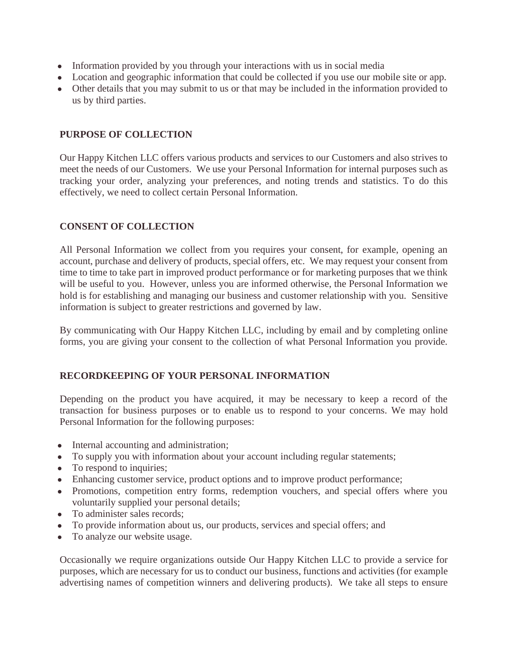- Information provided by you through your interactions with us in social media
- Location and geographic information that could be collected if you use our mobile site or app.
- Other details that you may submit to us or that may be included in the information provided to us by third parties.

# **PURPOSE OF COLLECTION**

Our Happy Kitchen LLC offers various products and services to our Customers and also strives to meet the needs of our Customers. We use your Personal Information for internal purposes such as tracking your order, analyzing your preferences, and noting trends and statistics. To do this effectively, we need to collect certain Personal Information.

# **CONSENT OF COLLECTION**

All Personal Information we collect from you requires your consent, for example, opening an account, purchase and delivery of products, special offers, etc. We may request your consent from time to time to take part in improved product performance or for marketing purposes that we think will be useful to you. However, unless you are informed otherwise, the Personal Information we hold is for establishing and managing our business and customer relationship with you. Sensitive information is subject to greater restrictions and governed by law.

By communicating with Our Happy Kitchen LLC, including by email and by completing online forms, you are giving your consent to the collection of what Personal Information you provide.

# **RECORDKEEPING OF YOUR PERSONAL INFORMATION**

Depending on the product you have acquired, it may be necessary to keep a record of the transaction for business purposes or to enable us to respond to your concerns. We may hold Personal Information for the following purposes:

- Internal accounting and administration;
- To supply you with information about your account including regular statements;
- To respond to inquiries;
- Enhancing customer service, product options and to improve product performance;
- Promotions, competition entry forms, redemption vouchers, and special offers where you voluntarily supplied your personal details;
- To administer sales records:
- To provide information about us, our products, services and special offers; and
- To analyze our website usage.

Occasionally we require organizations outside Our Happy Kitchen LLC to provide a service for purposes, which are necessary for us to conduct our business, functions and activities (for example advertising names of competition winners and delivering products). We take all steps to ensure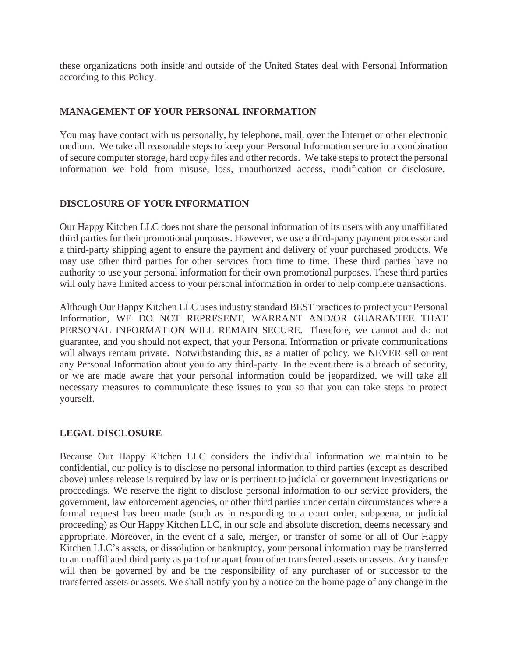these organizations both inside and outside of the United States deal with Personal Information according to this Policy.

## **MANAGEMENT OF YOUR PERSONAL INFORMATION**

You may have contact with us personally, by telephone, mail, over the Internet or other electronic medium. We take all reasonable steps to keep your Personal Information secure in a combination of secure computer storage, hard copy files and other records. We take steps to protect the personal information we hold from misuse, loss, unauthorized access, modification or disclosure.

## **DISCLOSURE OF YOUR INFORMATION**

Our Happy Kitchen LLC does not share the personal information of its users with any unaffiliated third parties for their promotional purposes. However, we use a third-party payment processor and a third-party shipping agent to ensure the payment and delivery of your purchased products. We may use other third parties for other services from time to time. These third parties have no authority to use your personal information for their own promotional purposes. These third parties will only have limited access to your personal information in order to help complete transactions.

Although Our Happy Kitchen LLC uses industry standard BEST practices to protect your Personal Information, WE DO NOT REPRESENT, WARRANT AND/OR GUARANTEE THAT PERSONAL INFORMATION WILL REMAIN SECURE. Therefore, we cannot and do not guarantee, and you should not expect, that your Personal Information or private communications will always remain private. Notwithstanding this, as a matter of policy, we NEVER sell or rent any Personal Information about you to any third-party. In the event there is a breach of security, or we are made aware that your personal information could be jeopardized, we will take all necessary measures to communicate these issues to you so that you can take steps to protect yourself.

#### **LEGAL DISCLOSURE**

Because Our Happy Kitchen LLC considers the individual information we maintain to be confidential, our policy is to disclose no personal information to third parties (except as described above) unless release is required by law or is pertinent to judicial or government investigations or proceedings. We reserve the right to disclose personal information to our service providers, the government, law enforcement agencies, or other third parties under certain circumstances where a formal request has been made (such as in responding to a court order, subpoena, or judicial proceeding) as Our Happy Kitchen LLC, in our sole and absolute discretion, deems necessary and appropriate. Moreover, in the event of a sale, merger, or transfer of some or all of Our Happy Kitchen LLC's assets, or dissolution or bankruptcy, your personal information may be transferred to an unaffiliated third party as part of or apart from other transferred assets or assets. Any transfer will then be governed by and be the responsibility of any purchaser of or successor to the transferred assets or assets. We shall notify you by a notice on the home page of any change in the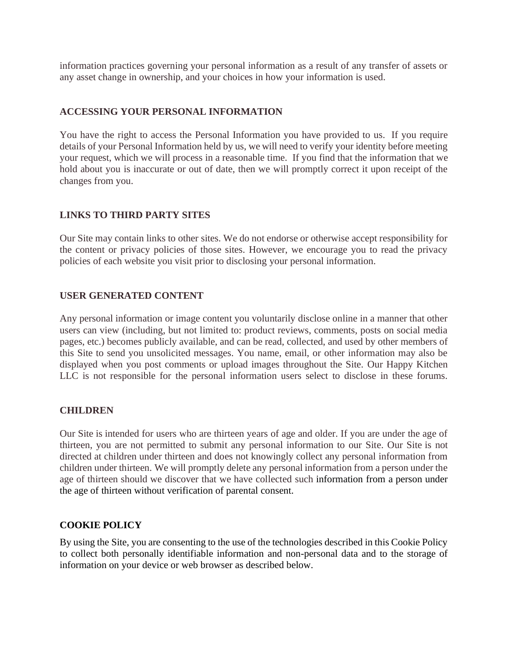information practices governing your personal information as a result of any transfer of assets or any asset change in ownership, and your choices in how your information is used.

## **ACCESSING YOUR PERSONAL INFORMATION**

You have the right to access the Personal Information you have provided to us. If you require details of your Personal Information held by us, we will need to verify your identity before meeting your request, which we will process in a reasonable time. If you find that the information that we hold about you is inaccurate or out of date, then we will promptly correct it upon receipt of the changes from you.

## **LINKS TO THIRD PARTY SITES**

Our Site may contain links to other sites. We do not endorse or otherwise accept responsibility for the content or privacy policies of those sites. However, we encourage you to read the privacy policies of each website you visit prior to disclosing your personal information.

## **USER GENERATED CONTENT**

Any personal information or image content you voluntarily disclose online in a manner that other users can view (including, but not limited to: product reviews, comments, posts on social media pages, etc.) becomes publicly available, and can be read, collected, and used by other members of this Site to send you unsolicited messages. You name, email, or other information may also be displayed when you post comments or upload images throughout the Site. Our Happy Kitchen LLC is not responsible for the personal information users select to disclose in these forums.

#### **CHILDREN**

Our Site is intended for users who are thirteen years of age and older. If you are under the age of thirteen, you are not permitted to submit any personal information to our Site. Our Site is not directed at children under thirteen and does not knowingly collect any personal information from children under thirteen. We will promptly delete any personal information from a person under the age of thirteen should we discover that we have collected such information from a person under the age of thirteen without verification of parental consent.

#### **COOKIE POLICY**

By using the Site, you are consenting to the use of the technologies described in this Cookie Policy to collect both personally identifiable information and non-personal data and to the storage of information on your device or web browser as described below.